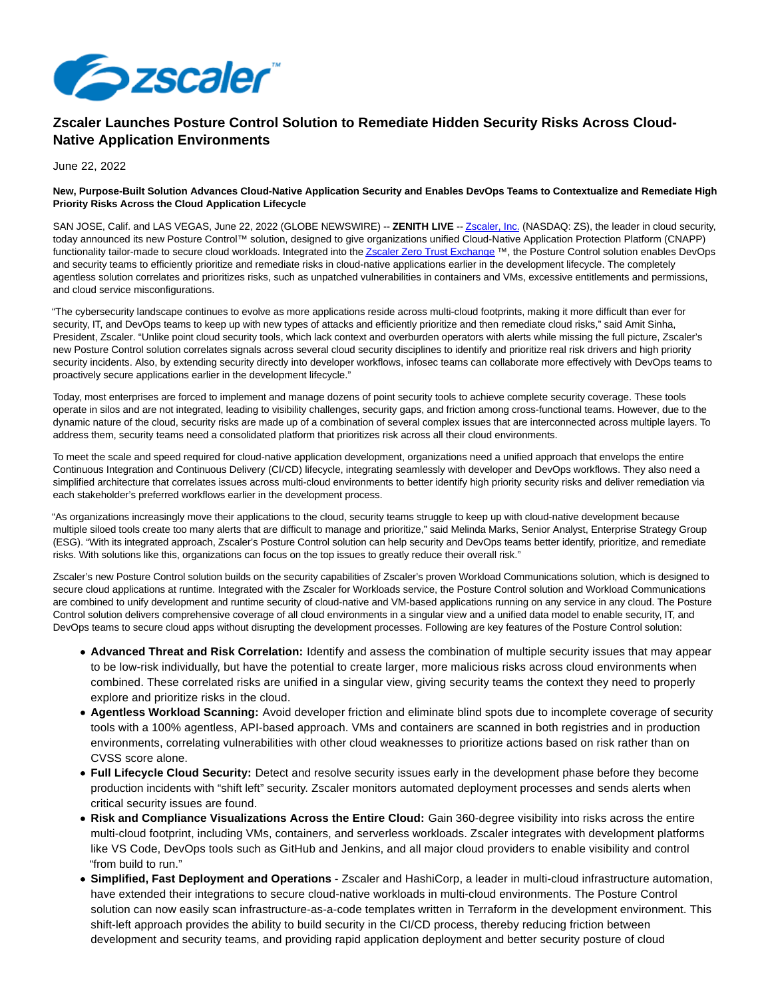

## **Zscaler Launches Posture Control Solution to Remediate Hidden Security Risks Across Cloud-Native Application Environments**

June 22, 2022

## **New, Purpose-Built Solution Advances Cloud-Native Application Security and Enables DevOps Teams to Contextualize and Remediate High Priority Risks Across the Cloud Application Lifecycle**

SAN JOSE, Calif. and LAS VEGAS, June 22, 2022 (GLOBE NEWSWIRE) -- **ZENITH LIVE** -[- Zscaler, Inc. \(](https://www.globenewswire.com/Tracker?data=grni7DEdMIVwPvAPzWGnQGlVYtlyF6kpFqdpRMx3j9Z0ajLZDsHCbucW0OSTYNBhQY8N0PuzZyx3ZxVBzwZjlw==)NASDAQ: ZS), the leader in cloud security, today announced its new Posture Control™ solution, designed to give organizations unified Cloud-Native Application Protection Platform (CNAPP) functionality tailor-made to secure cloud workloads. Integrated into th[e Zscaler Zero Trust Exchange](https://www.globenewswire.com/Tracker?data=grni7DEdMIVwPvAPzWGnQDWpdip5xysLsUGDWsMaZuLBCT7CMFVuSC1j6Kzw0yyrvP4BnhwaVGFoJRo_HLzBW1sxHt_36y8uxf_kQ39JIpHNt7IAju1rZG2fFUphRCzsDN-7KAHCRrBSGwazIaTCuA==) ™, the Posture Control solution enables DevOps and security teams to efficiently prioritize and remediate risks in cloud-native applications earlier in the development lifecycle. The completely agentless solution correlates and prioritizes risks, such as unpatched vulnerabilities in containers and VMs, excessive entitlements and permissions, and cloud service misconfigurations.

"The cybersecurity landscape continues to evolve as more applications reside across multi-cloud footprints, making it more difficult than ever for security, IT, and DevOps teams to keep up with new types of attacks and efficiently prioritize and then remediate cloud risks," said Amit Sinha, President, Zscaler. "Unlike point cloud security tools, which lack context and overburden operators with alerts while missing the full picture, Zscaler's new Posture Control solution correlates signals across several cloud security disciplines to identify and prioritize real risk drivers and high priority security incidents. Also, by extending security directly into developer workflows, infosec teams can collaborate more effectively with DevOps teams to proactively secure applications earlier in the development lifecycle."

Today, most enterprises are forced to implement and manage dozens of point security tools to achieve complete security coverage. These tools operate in silos and are not integrated, leading to visibility challenges, security gaps, and friction among cross-functional teams. However, due to the dynamic nature of the cloud, security risks are made up of a combination of several complex issues that are interconnected across multiple layers. To address them, security teams need a consolidated platform that prioritizes risk across all their cloud environments.

To meet the scale and speed required for cloud-native application development, organizations need a unified approach that envelops the entire Continuous Integration and Continuous Delivery (CI/CD) lifecycle, integrating seamlessly with developer and DevOps workflows. They also need a simplified architecture that correlates issues across multi-cloud environments to better identify high priority security risks and deliver remediation via each stakeholder's preferred workflows earlier in the development process.

"As organizations increasingly move their applications to the cloud, security teams struggle to keep up with cloud-native development because multiple siloed tools create too many alerts that are difficult to manage and prioritize," said Melinda Marks, Senior Analyst, Enterprise Strategy Group (ESG). "With its integrated approach, Zscaler's Posture Control solution can help security and DevOps teams better identify, prioritize, and remediate risks. With solutions like this, organizations can focus on the top issues to greatly reduce their overall risk."

Zscaler's new Posture Control solution builds on the security capabilities of Zscaler's proven Workload Communications solution, which is designed to secure cloud applications at runtime. Integrated with the Zscaler for Workloads service, the Posture Control solution and Workload Communications are combined to unify development and runtime security of cloud-native and VM-based applications running on any service in any cloud. The Posture Control solution delivers comprehensive coverage of all cloud environments in a singular view and a unified data model to enable security, IT, and DevOps teams to secure cloud apps without disrupting the development processes. Following are key features of the Posture Control solution:

- **Advanced Threat and Risk Correlation:** Identify and assess the combination of multiple security issues that may appear to be low-risk individually, but have the potential to create larger, more malicious risks across cloud environments when combined. These correlated risks are unified in a singular view, giving security teams the context they need to properly explore and prioritize risks in the cloud.
- **Agentless Workload Scanning:** Avoid developer friction and eliminate blind spots due to incomplete coverage of security tools with a 100% agentless, API-based approach. VMs and containers are scanned in both registries and in production environments, correlating vulnerabilities with other cloud weaknesses to prioritize actions based on risk rather than on CVSS score alone.
- **Full Lifecycle Cloud Security:** Detect and resolve security issues early in the development phase before they become production incidents with "shift left" security. Zscaler monitors automated deployment processes and sends alerts when critical security issues are found.
- **Risk and Compliance Visualizations Across the Entire Cloud:** Gain 360-degree visibility into risks across the entire multi-cloud footprint, including VMs, containers, and serverless workloads. Zscaler integrates with development platforms like VS Code, DevOps tools such as GitHub and Jenkins, and all major cloud providers to enable visibility and control "from build to run."
- **Simplified, Fast Deployment and Operations** Zscaler and HashiCorp, a leader in multi-cloud infrastructure automation, have extended their integrations to secure cloud-native workloads in multi-cloud environments. The Posture Control solution can now easily scan infrastructure-as-a-code templates written in Terraform in the development environment. This shift-left approach provides the ability to build security in the CI/CD process, thereby reducing friction between development and security teams, and providing rapid application deployment and better security posture of cloud